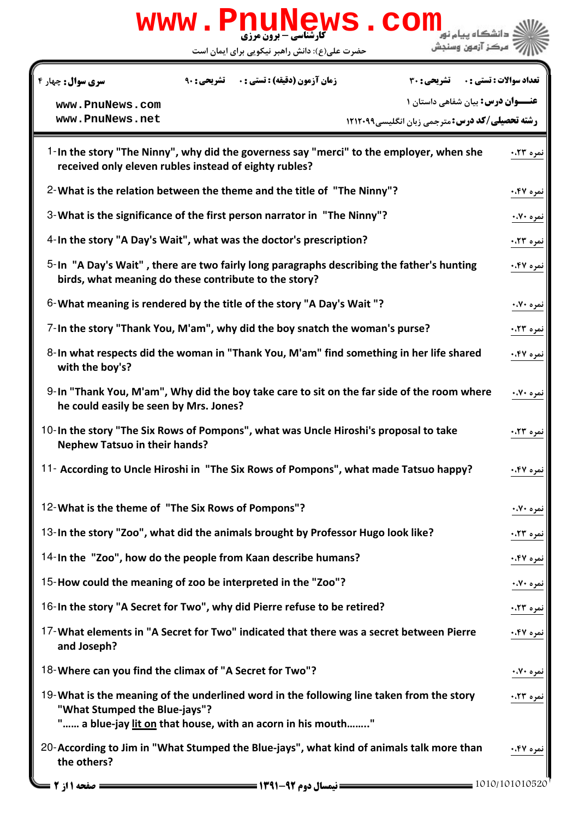| www.PnuNews.com                                                                                                                                                                          |           |  |
|------------------------------------------------------------------------------------------------------------------------------------------------------------------------------------------|-----------|--|
| مركز آزمون وسنجش<br>حضرت علی(ع): دانش راهبر نیکویی برای ایمان است                                                                                                                        |           |  |
| <b>زمان آزمون (دقیقه) : تستی : . ۔ تشریحی : 90</b><br><b>سری سوال :</b> چهار ۴<br><b>تعداد سوالات : تستي : . _ _ تشريحي : 30</b>                                                         |           |  |
| <b>عنـــوان درس:</b> بیان شفاهی داستان ۱<br>www.PnuNews.com<br>www.PnuNews.net<br><b>رشته تحصیلی/کد درس: مترجمی زبان انگلیسی1۲۱۲۰۹۹</b>                                                  |           |  |
| 1-In the story "The Ninny", why did the governess say "merci" to the employer, when she<br>received only eleven rubles instead of eighty rubles?                                         | نمره ۰،۲۳ |  |
| 2- What is the relation between the theme and the title of "The Ninny"?                                                                                                                  | نمره ۴۷.۰ |  |
| 3- What is the significance of the first person narrator in "The Ninny"?                                                                                                                 | نمره ۷۰،۰ |  |
| 4-In the story "A Day's Wait", what was the doctor's prescription?                                                                                                                       | نمره ۰،۲۳ |  |
| 5-In "A Day's Wait", there are two fairly long paragraphs describing the father's hunting<br>birds, what meaning do these contribute to the story?                                       | نمره ۴۷.۰ |  |
| 6-What meaning is rendered by the title of the story "A Day's Wait "?                                                                                                                    | نمره ۷۰٪. |  |
| 7-In the story "Thank You, M'am", why did the boy snatch the woman's purse?                                                                                                              | نمره ۰،۲۳ |  |
| 8-In what respects did the woman in "Thank You, M'am" find something in her life shared<br>with the boy's?                                                                               | نمره ۴۷.۰ |  |
| 9-In "Thank You, M'am", Why did the boy take care to sit on the far side of the room where<br>he could easily be seen by Mrs. Jones?                                                     | نمره ۷۰٪. |  |
| 10-In the story "The Six Rows of Pompons", what was Uncle Hiroshi's proposal to take<br><b>Nephew Tatsuo in their hands?</b>                                                             | نمره ۰،۲۳ |  |
| 11- According to Uncle Hiroshi in "The Six Rows of Pompons", what made Tatsuo happy?                                                                                                     | نمره ۴۷۰. |  |
| 12-What is the theme of "The Six Rows of Pompons"?                                                                                                                                       | نمره ۷۰،۰ |  |
| 13-In the story "Zoo", what did the animals brought by Professor Hugo look like?                                                                                                         | نمره ۰،۲۳ |  |
| 14-In the "Zoo", how do the people from Kaan describe humans?                                                                                                                            | نمره ۴۷.۰ |  |
| 15-How could the meaning of zoo be interpreted in the "Zoo"?                                                                                                                             | نمره ۷۰٪. |  |
| 16-In the story "A Secret for Two", why did Pierre refuse to be retired?                                                                                                                 | نمره ۲۳.۰ |  |
| 17-What elements in "A Secret for Two" indicated that there was a secret between Pierre<br>and Joseph?                                                                                   | نمره ۴۷.۰ |  |
| 18-Where can you find the climax of "A Secret for Two"?                                                                                                                                  | نمره ۷۰،۰ |  |
| 19-What is the meaning of the underlined word in the following line taken from the story<br>"What Stumped the Blue-jays"?<br>" a blue-jay lit on that house, with an acorn in his mouth" | نمره ۰،۲۳ |  |
| 20-According to Jim in "What Stumped the Blue-jays", what kind of animals talk more than<br>the others?                                                                                  | نمره ۴۷.۰ |  |